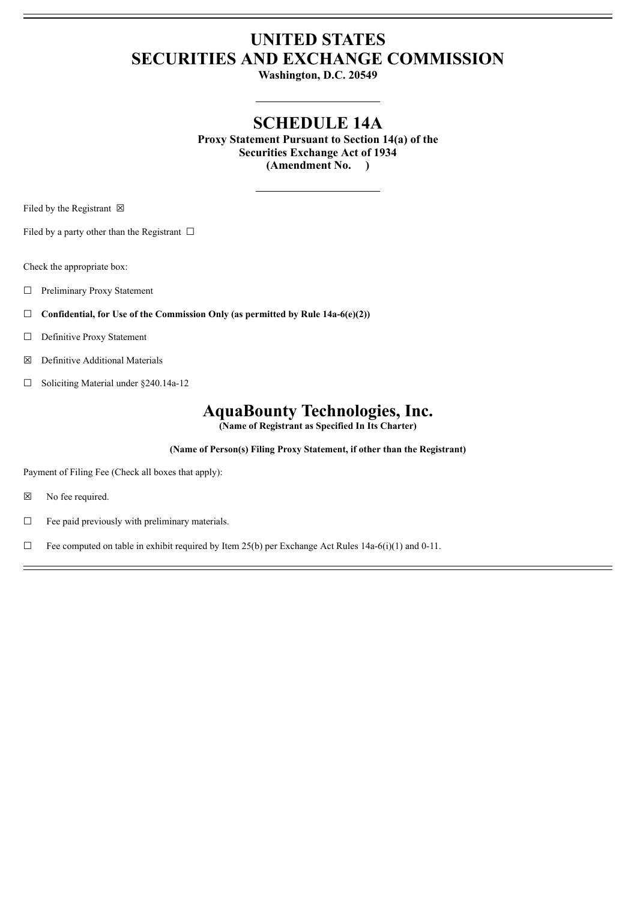# **UNITED STATES SECURITIES AND EXCHANGE COMMISSION**

**Washington, D.C. 20549**

## **SCHEDULE 14A**

**Proxy Statement Pursuant to Section 14(a) of the Securities Exchange Act of 1934 (Amendment No. )**

Filed by the Registrant  $\boxtimes$ 

Filed by a party other than the Registrant  $\Box$ 

Check the appropriate box:

- ☐ Preliminary Proxy Statement
- ☐ **Confidential, for Use of the Commission Only (as permitted by Rule 14a-6(e)(2))**
- ☐ Definitive Proxy Statement
- ☒ Definitive Additional Materials
- ☐ Soliciting Material under §240.14a-12

## **AquaBounty Technologies, Inc.**

**(Name of Registrant as Specified In Its Charter)**

**(Name of Person(s) Filing Proxy Statement, if other than the Registrant)**

Payment of Filing Fee (Check all boxes that apply):

- ☒ No fee required.
- $\Box$  Fee paid previously with preliminary materials.
- $\Box$  Fee computed on table in exhibit required by Item 25(b) per Exchange Act Rules 14a-6(i)(1) and 0-11.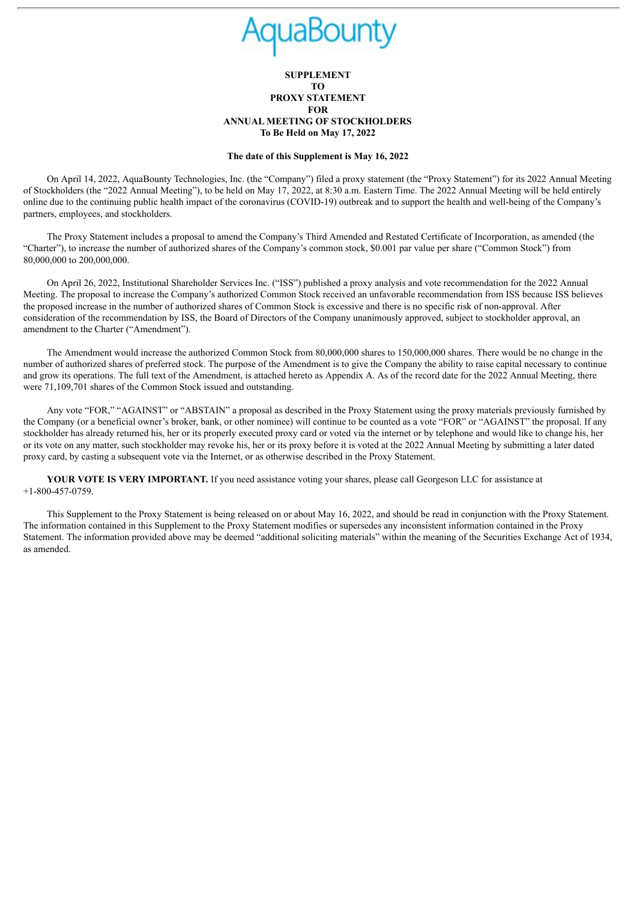### **SUPPLEMENT TO PROXY STATEMENT FOR ANNUAL MEETING OF STOCKHOLDERS To Be Held on May 17, 2022**

#### **The date of this Supplement is May 16, 2022**

On April 14, 2022, AquaBounty Technologies, Inc. (the "Company") filed a proxy statement (the "Proxy Statement") for its 2022 Annual Meeting of Stockholders (the "2022 Annual Meeting"), to be held on May 17, 2022, at 8:30 a.m. Eastern Time. The 2022 Annual Meeting will be held entirely online due to the continuing public health impact of the coronavirus (COVID-19) outbreak and to support the health and well-being of the Company's partners, employees, and stockholders.

The Proxy Statement includes a proposal to amend the Company's Third Amended and Restated Certificate of Incorporation, as amended (the "Charter"), to increase the number of authorized shares of the Company's common stock, \$0.001 par value per share ("Common Stock") from 80,000,000 to 200,000,000.

On April 26, 2022, Institutional Shareholder Services Inc. ("ISS") published a proxy analysis and vote recommendation for the 2022 Annual Meeting. The proposal to increase the Company's authorized Common Stock received an unfavorable recommendation from ISS because ISS believes the proposed increase in the number of authorized shares of Common Stock is excessive and there is no specific risk of non-approval. After consideration of the recommendation by ISS, the Board of Directors of the Company unanimously approved, subject to stockholder approval, an amendment to the Charter ("Amendment").

The Amendment would increase the authorized Common Stock from 80,000,000 shares to 150,000,000 shares. There would be no change in the number of authorized shares of preferred stock. The purpose of the Amendment is to give the Company the ability to raise capital necessary to continue and grow its operations. The full text of the Amendment, is attached hereto as Appendix A. As of the record date for the 2022 Annual Meeting, there were 71,109,701 shares of the Common Stock issued and outstanding.

Any vote "FOR," "AGAINST" or "ABSTAIN" a proposal as described in the Proxy Statement using the proxy materials previously furnished by the Company (or a beneficial owner's broker, bank, or other nominee) will continue to be counted as a vote "FOR" or "AGAINST" the proposal. If any stockholder has already returned his, her or its properly executed proxy card or voted via the internet or by telephone and would like to change his, her or its vote on any matter, such stockholder may revoke his, her or its proxy before it is voted at the 2022 Annual Meeting by submitting a later dated proxy card, by casting a subsequent vote via the Internet, or as otherwise described in the Proxy Statement.

**YOUR VOTE IS VERY IMPORTANT.** If you need assistance voting your shares, please call Georgeson LLC for assistance at +1-800-457-0759.

This Supplement to the Proxy Statement is being released on or about May 16, 2022, and should be read in conjunction with the Proxy Statement. The information contained in this Supplement to the Proxy Statement modifies or supersedes any inconsistent information contained in the Proxy Statement. The information provided above may be deemed "additional soliciting materials" within the meaning of the Securities Exchange Act of 1934, as amended.